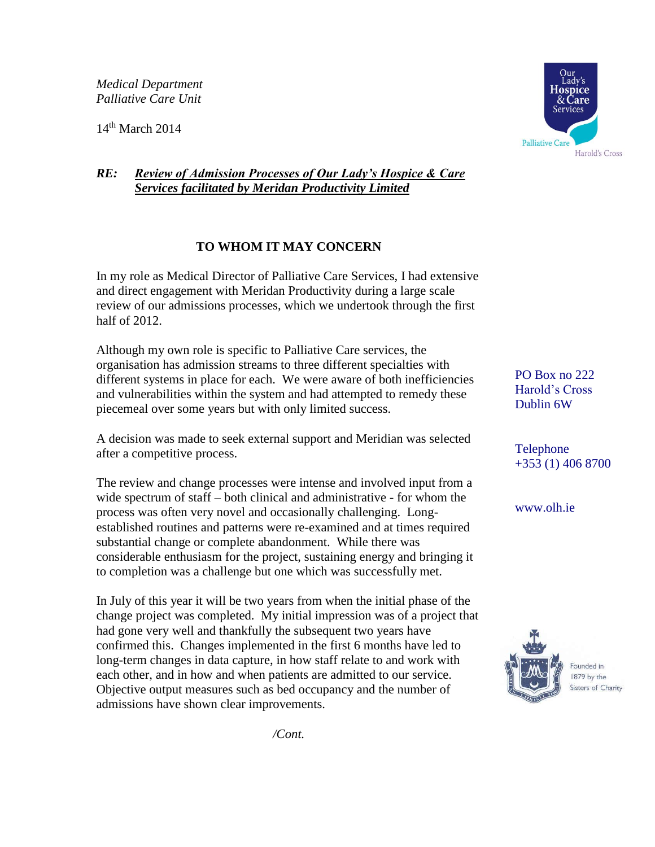*Medical Department Palliative Care Unit*

 $14<sup>th</sup>$  March 2014



## *RE: Review of Admission Processes of Our Lady's Hospice & Care Services facilitated by Meridan Productivity Limited*

## **TO WHOM IT MAY CONCERN**

In my role as Medical Director of Palliative Care Services, I had extensive and direct engagement with Meridan Productivity during a large scale review of our admissions processes, which we undertook through the first half of 2012.

Although my own role is specific to Palliative Care services, the organisation has admission streams to three different specialties with different systems in place for each. We were aware of both inefficiencies and vulnerabilities within the system and had attempted to remedy these piecemeal over some years but with only limited success.

A decision was made to seek external support and Meridian was selected after a competitive process.

The review and change processes were intense and involved input from a wide spectrum of staff – both clinical and administrative - for whom the process was often very novel and occasionally challenging. Longestablished routines and patterns were re-examined and at times required substantial change or complete abandonment. While there was considerable enthusiasm for the project, sustaining energy and bringing it to completion was a challenge but one which was successfully met.

In July of this year it will be two years from when the initial phase of the change project was completed. My initial impression was of a project that had gone very well and thankfully the subsequent two years have confirmed this. Changes implemented in the first 6 months have led to long-term changes in data capture, in how staff relate to and work with each other, and in how and when patients are admitted to our service. Objective output measures such as bed occupancy and the number of admissions have shown clear improvements.

PO Box no 222 Harold's Cross Dublin 6W

Telephone +353 (1) 406 8700

www.olh.ie



Founded in 1879 by the Sisters of Charity

*/Cont.*